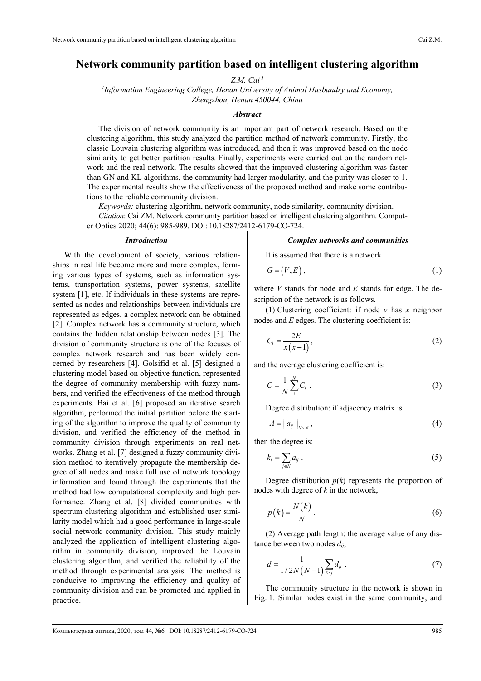# **Network community partition based on intelligent clustering algorithm**

*Z.M. Cai 1*

*1 Information Engineering College, Henan University of Animal Husbandry and Economy, Zhengzhou, Henan 450044, China* 

## *Abstract*

The division of network community is an important part of network research. Based on the clustering algorithm, this study analyzed the partition method of network community. Firstly, the classic Louvain clustering algorithm was introduced, and then it was improved based on the node similarity to get better partition results. Finally, experiments were carried out on the random network and the real network. The results showed that the improved clustering algorithm was faster than GN and KL algorithms, the community had larger modularity, and the purity was closer to 1. The experimental results show the effectiveness of the proposed method and make some contributions to the reliable community division.

*Keywords:* clustering algorithm, network community, node similarity, community division.

*Citation*: Cai ZM. Network community partition based on intelligent clustering algorithm. Computer Optics 2020; 44(6): 985-989. DOI: 10.18287/2412-6179-CO-724.

#### *Introduction*

With the development of society, various relationships in real life become more and more complex, forming various types of systems, such as information systems, transportation systems, power systems, satellite system [1], etc. If individuals in these systems are represented as nodes and relationships between individuals are represented as edges, a complex network can be obtained [2]. Complex network has a community structure, which contains the hidden relationship between nodes [3]. The division of community structure is one of the focuses of complex network research and has been widely concerned by researchers [4]. Golsifid et al. [5] designed a clustering model based on objective function, represented the degree of community membership with fuzzy numbers, and verified the effectiveness of the method through experiments. Bai et al. [6] proposed an iterative search algorithm, performed the initial partition before the starting of the algorithm to improve the quality of community division, and verified the efficiency of the method in community division through experiments on real networks. Zhang et al. [7] designed a fuzzy community division method to iteratively propagate the membership degree of all nodes and make full use of network topology information and found through the experiments that the method had low computational complexity and high performance. Zhang et al. [8] divided communities with spectrum clustering algorithm and established user similarity model which had a good performance in large-scale social network community division. This study mainly analyzed the application of intelligent clustering algorithm in community division, improved the Louvain clustering algorithm, and verified the reliability of the method through experimental analysis. The method is conducive to improving the efficiency and quality of community division and can be promoted and applied in practice.

#### *Complex networks and communities*

It is assumed that there is a network

$$
G = (V, E), \tag{1}
$$

where *V* stands for node and *E* stands for edge. The description of the network is as follows.

(1) Clustering coefficient: if node *v* has *x* neighbor nodes and *E* edges. The clustering coefficient is:

$$
C_i = \frac{2E}{x(x-1)},\tag{2}
$$

and the average clustering coefficient is:

$$
C = \frac{1}{N} \sum_{i}^{N} C_i \tag{3}
$$

Degree distribution: if adjacency matrix is

$$
A = \left[ a_{ij} \right]_{N \times N}, \tag{4}
$$

then the degree is:

$$
k_i = \sum_{j \in N} a_{ij} \ . \tag{5}
$$

Degree distribution  $p(k)$  represents the proportion of nodes with degree of *k* in the network,

$$
p(k) = \frac{N(k)}{N}.
$$
 (6)

(2) Average path length: the average value of any distance between two nodes *dij*,

$$
d = \frac{1}{1/2N(N-1)} \sum_{i \ge j} d_{ij} \tag{7}
$$

The community structure in the network is shown in Fig. 1. Similar nodes exist in the same community, and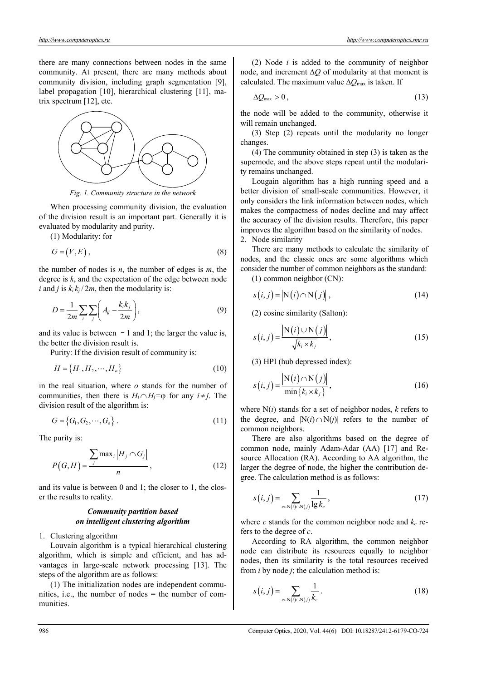there are many connections between nodes in the same community. At present, there are many methods about community division, including graph segmentation [9], label propagation [10], hierarchical clustering [11], matrix spectrum [12], etc.



*Fig. 1. Community structure in the network* 

When processing community division, the evaluation of the division result is an important part. Generally it is evaluated by modularity and purity.

(1) Modularity: for

$$
G = (V, E), \tag{8}
$$

the number of nodes is *n*, the number of edges is *m*, the degree is *k*, and the expectation of the edge between node *i* and *j* is  $k_i k_j / 2m$ , then the modularity is:

$$
D = \frac{1}{2m} \sum_{i} \sum_{j} \left( A_{ij} - \frac{k_i k_j}{2m} \right),\tag{9}
$$

and its value is between  $-1$  and 1; the larger the value is, the better the division result is.

Purity: If the division result of community is:

$$
H = \{H_1, H_2, \cdots, H_o\}
$$
\n<sup>(10)</sup>

in the real situation, where *o* stands for the number of communities, then there is  $H_i \cap H_j = \emptyset$  for any  $i \neq j$ . The division result of the algorithm is:

$$
G = \{G_1, G_2, \cdots, G_o\} . \tag{11}
$$

The purity is:

$$
P(G,H) = \frac{\sum_{j} \max_{i} |H_{j} \cap G_{j}|}{n},
$$
\n(12)

and its value is between 0 and 1; the closer to 1, the closer the results to reality.

## *Community partition based on intelligent clustering algorithm*

## 1. Clustering algorithm

Louvain algorithm is a typical hierarchical clustering algorithm, which is simple and efficient, and has advantages in large-scale network processing [13]. The steps of the algorithm are as follows:

(1) The initialization nodes are independent communities, i.e., the number of nodes = the number of communities.

(2) Node *i* is added to the community of neighbor node, and increment  $\Delta Q$  of modularity at that moment is calculated. The maximum value  $\Delta Q_{\text{max}}$  is taken. If

$$
\Delta \mathcal{Q}_{\text{max}} > 0, \tag{13}
$$

the node will be added to the community, otherwise it will remain unchanged.

(3) Step (2) repeats until the modularity no longer changes.

(4) The community obtained in step (3) is taken as the supernode, and the above steps repeat until the modularity remains unchanged.

Lougain algorithm has a high running speed and a better division of small-scale communities. However, it only considers the link information between nodes, which makes the compactness of nodes decline and may affect the accuracy of the division results. Therefore, this paper improves the algorithm based on the similarity of nodes. 2. Node similarity

There are many methods to calculate the similarity of nodes, and the classic ones are some algorithms which

consider the number of common neighbors as the standard:

(1) common neighbor (CN):

$$
s(i, j) = |N(i) \cap N(j)|, \qquad (14)
$$

(2) cosine similarity (Salton):

$$
s(i,j) = \frac{\left| \mathcal{N}(i) \cup \mathcal{N}(j) \right|}{\sqrt{k_i \times k_j}},
$$
\n(15)

(3) HPI (hub depressed index):

$$
s(i,j) = \frac{\left| \mathbf{N}(i) \cap \mathbf{N}(j) \right|}{\min \{ k_i \times k_j \}},
$$
\n(16)

where N(*i*) stands for a set of neighbor nodes, *k* refers to the degree, and  $|N(i) \cap N(j)|$  refers to the number of common neighbors.

There are also algorithms based on the degree of common node, mainly Adam-Adar (AA) [17] and Resource Allocation (RA). According to AA algorithm, the larger the degree of node, the higher the contribution degree. The calculation method is as follows:

$$
s(i,j) = \sum_{c \in \mathbb{N}(i) \cap \mathbb{N}(j)} \frac{1}{\lg k_c},\tag{17}
$$

where *c* stands for the common neighbor node and  $k_c$  refers to the degree of *c*.

According to RA algorithm, the common neighbor node can distribute its resources equally to neighbor nodes, then its similarity is the total resources received from *i* by node *j*; the calculation method is:

$$
s(i,j) = \sum_{c \in \mathbb{N}(i) \cap \mathbb{N}(j)} \frac{1}{k_c} \,. \tag{18}
$$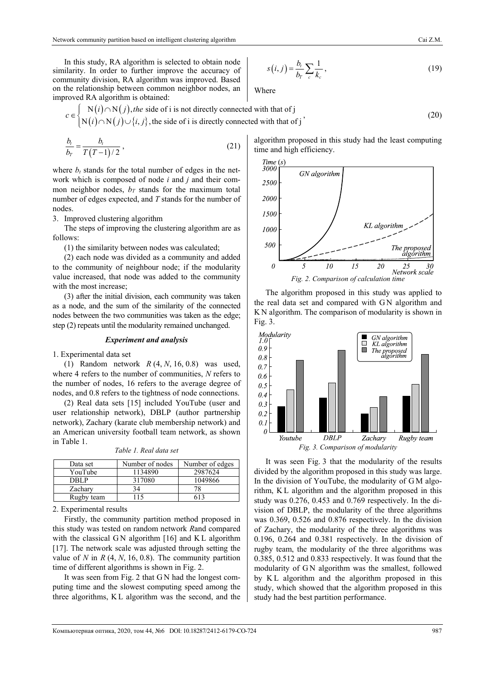In this study, RA algorithm is selected to obtain node similarity. In order to further improve the accuracy of community division, RA algorithm was improved. Based on the relationship between common neighbor nodes, an improved RA algorithm is obtained:

$$
s(i,j) = \frac{b_i}{b_r} \sum_{c} \frac{1}{k_c},
$$
\n(19)

Where

$$
c \in \begin{cases} N(i) \cap N(j), \text{the side of } i \text{ is not directly connected with that of } j \\ N(i) \cap N(j) \cup \{i, j\}, \text{the side of } i \text{ is directly connected with that of } j \end{cases}
$$
 (20)

$$
\frac{b_t}{b_T} = \frac{b_t}{T(T-1)/2},
$$
\n(21)

where  $b_t$  stands for the total number of edges in the network which is composed of node *i* and *j* and their common neighbor nodes,  $b_T$  stands for the maximum total number of edges expected, and *T* stands for the number of nodes.

3. Improved clustering algorithm

The steps of improving the clustering algorithm are as follows:

(1) the similarity between nodes was calculated;

(2) each node was divided as a community and added to the community of neighbour node; if the modularity value increased, that node was added to the community with the most increase;

(3) after the initial division, each community was taken as a node, and the sum of the similarity of the connected nodes between the two communities was taken as the edge; step (2) repeats until the modularity remained unchanged.

#### *Experiment and analysis*

1. Experimental data set

(1) Random network *R* (4, *N*, 16, 0.8) was used, where 4 refers to the number of communities, *N* refers to the number of nodes, 16 refers to the average degree of nodes, and 0.8 refers to the tightness of node connections.

(2) Real data sets [15] included YouTube (user and user relationship network), DBLP (author partnership network), Zachary (karate club membership network) and an American university football team network, as shown in Table 1.

| Data set   | Number of nodes | Number of edges |
|------------|-----------------|-----------------|
| YouTube    | 1134890         | 2987624         |
| DBLP       | 317080          | 1049866         |
| Zachary    | 34              |                 |
| Rugby team |                 |                 |

*Table 1. Real data set* 

2. Experimental results

Firstly, the community partition method proposed in this study was tested on random network *R*and compared with the classical GN algorithm [16] and KL algorithm [17]. The network scale was adjusted through setting the value of *N* in  $R$  (4,  $N$ , 16, 0.8). The community partition time of different algorithms is shown in Fig. 2.

It was seen from Fig. 2 that G N had the longest computing time and the slowest computing speed among the three algorithms, K L algorithm was the second, and the

algorithm proposed in this study had the least computing time and high efficiency.



The algorithm proposed in this study was applied to the real data set and compared with G N algorithm and K N algorithm. The comparison of modularity is shown in Fig. 3.



It was seen Fig. 3 that the modularity of the results divided by the algorithm proposed in this study was large. In the division of YouTube, the modularity of G M algorithm, K L algorithm and the algorithm proposed in this study was 0.276, 0.453 and 0.769 respectively. In the division of DBLP, the modularity of the three algorithms was 0.369, 0.526 and 0.876 respectively. In the division of Zachary, the modularity of the three algorithms was 0.196, 0.264 and 0.381 respectively. In the division of rugby team, the modularity of the three algorithms was 0.385, 0.512 and 0.833 respectively. It was found that the modularity of G N algorithm was the smallest, followed by KL algorithm and the algorithm proposed in this study, which showed that the algorithm proposed in this study had the best partition performance.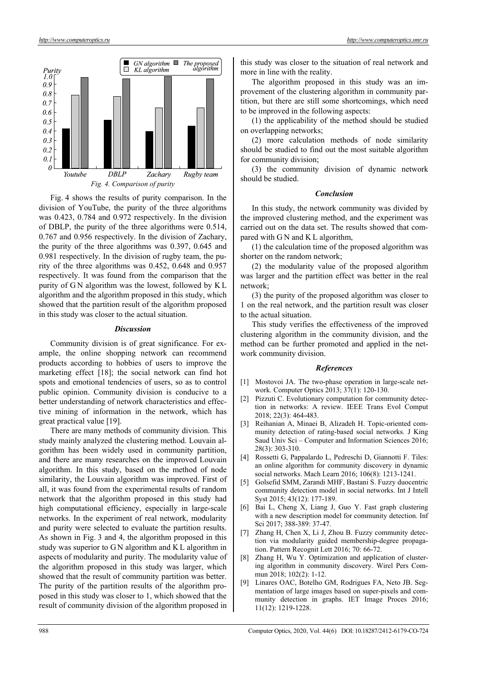

Fig. 4 shows the results of purity comparison. In the division of YouTube, the purity of the three algorithms was 0.423, 0.784 and 0.972 respectively. In the division of DBLP, the purity of the three algorithms were 0.514, 0.767 and 0.956 respectively. In the division of Zachary, the purity of the three algorithms was 0.397, 0.645 and 0.981 respectively. In the division of rugby team, the purity of the three algorithms was 0.452, 0.648 and 0.957 respectively. It was found from the comparison that the purity of G N algorithm was the lowest, followed by K L algorithm and the algorithm proposed in this study, which showed that the partition result of the algorithm proposed in this study was closer to the actual situation.

## *Discussion*

Community division is of great significance. For example, the online shopping network can recommend products according to hobbies of users to improve the marketing effect [18]; the social network can find hot spots and emotional tendencies of users, so as to control public opinion. Community division is conducive to a better understanding of network characteristics and effective mining of information in the network, which has great practical value [19].

There are many methods of community division. This study mainly analyzed the clustering method. Louvain algorithm has been widely used in community partition, and there are many researches on the improved Louvain algorithm. In this study, based on the method of node similarity, the Louvain algorithm was improved. First of all, it was found from the experimental results of random network that the algorithm proposed in this study had high computational efficiency, especially in large-scale networks. In the experiment of real network, modularity and purity were selected to evaluate the partition results. As shown in Fig. 3 and 4, the algorithm proposed in this study was superior to G N algorithm and K L algorithm in aspects of modularity and purity. The modularity value of the algorithm proposed in this study was larger, which showed that the result of community partition was better. The purity of the partition results of the algorithm proposed in this study was closer to 1, which showed that the result of community division of the algorithm proposed in this study was closer to the situation of real network and more in line with the reality.

The algorithm proposed in this study was an improvement of the clustering algorithm in community partition, but there are still some shortcomings, which need to be improved in the following aspects:

(1) the applicability of the method should be studied on overlapping networks;

(2) more calculation methods of node similarity should be studied to find out the most suitable algorithm for community division;

(3) the community division of dynamic network should be studied.

#### *Conclusion*

In this study, the network community was divided by the improved clustering method, and the experiment was carried out on the data set. The results showed that compared with G N and K L algorithm,

(1) the calculation time of the proposed algorithm was shorter on the random network;

(2) the modularity value of the proposed algorithm was larger and the partition effect was better in the real network;

(3) the purity of the proposed algorithm was closer to 1 on the real network, and the partition result was closer to the actual situation.

This study verifies the effectiveness of the improved clustering algorithm in the community division, and the method can be further promoted and applied in the network community division.

### *References*

- [1] Mostovoi JA. The two-phase operation in large-scale network. Computer Optics 2013; 37(1): 120-130.
- [2] Pizzuti C. Evolutionary computation for community detection in networks: A review. IEEE Trans Evol Comput 2018; 22(3): 464-483.
- [3] Reihanian A, Minaei B, Alizadeh H. Topic-oriented community detection of rating-based social networks. J King Saud Univ Sci – Computer and Information Sciences 2016; 28(3): 303-310.
- [4] Rossetti G, Pappalardo L, Pedreschi D, Giannotti F. Tiles: an online algorithm for community discovery in dynamic social networks. Mach Learn 2016; 106(8): 1213-1241.
- [5] Golsefid SMM, Zarandi MHF, Bastani S. Fuzzy duocentric community detection model in social networks. Int J Intell Syst 2015; 43(12): 177-189.
- [6] Bai L, Cheng X, Liang J, Guo Y. Fast graph clustering with a new description model for community detection. Inf Sci 2017; 388-389: 37-47.
- Zhang H, Chen X, Li J, Zhou B. Fuzzy community detection via modularity guided membership-degree propagation. Pattern Recognit Lett 2016; 70: 66-72.
- Zhang H, Wu Y. Optimization and application of clustering algorithm in community discovery. Wirel Pers Commun 2018; 102(2): 1-12.
- Linares OAC, Botelho GM, Rodrigues FA, Neto JB. Segmentation of large images based on super-pixels and community detection in graphs. IET Image Proces 2016; 11(12): 1219-1228.